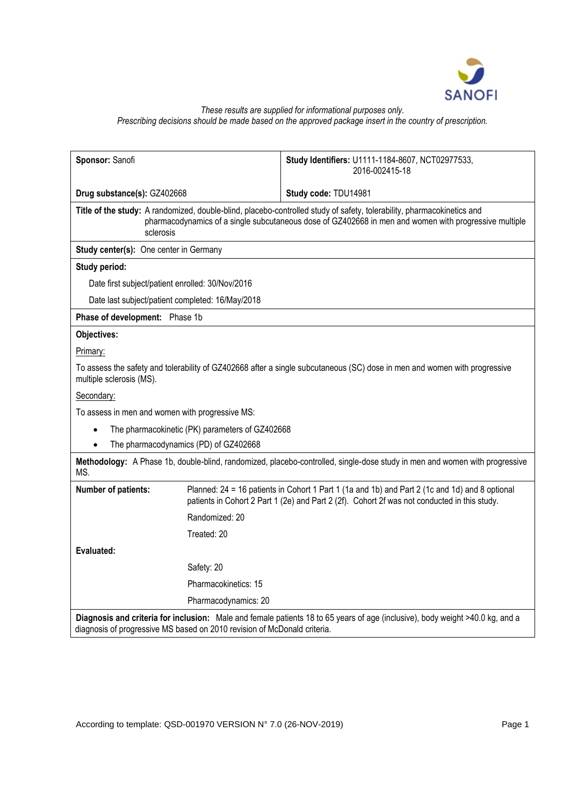

# *These results are supplied for informational purposes only. Prescribing decisions should be made based on the approved package insert in the country of prescription.*

| Sponsor: Sanofi                                                                                                                                                                                                                              |                                                                                                                                                                                                | Study Identifiers: U1111-1184-8607, NCT02977533,<br>2016-002415-18 |
|----------------------------------------------------------------------------------------------------------------------------------------------------------------------------------------------------------------------------------------------|------------------------------------------------------------------------------------------------------------------------------------------------------------------------------------------------|--------------------------------------------------------------------|
| Drug substance(s): GZ402668                                                                                                                                                                                                                  |                                                                                                                                                                                                | Study code: TDU14981                                               |
| Title of the study: A randomized, double-blind, placebo-controlled study of safety, tolerability, pharmacokinetics and<br>pharmacodynamics of a single subcutaneous dose of GZ402668 in men and women with progressive multiple<br>sclerosis |                                                                                                                                                                                                |                                                                    |
| Study center(s): One center in Germany                                                                                                                                                                                                       |                                                                                                                                                                                                |                                                                    |
| Study period:                                                                                                                                                                                                                                |                                                                                                                                                                                                |                                                                    |
| Date first subject/patient enrolled: 30/Nov/2016                                                                                                                                                                                             |                                                                                                                                                                                                |                                                                    |
| Date last subject/patient completed: 16/May/2018                                                                                                                                                                                             |                                                                                                                                                                                                |                                                                    |
| Phase of development: Phase 1b                                                                                                                                                                                                               |                                                                                                                                                                                                |                                                                    |
| Objectives:                                                                                                                                                                                                                                  |                                                                                                                                                                                                |                                                                    |
| Primary:                                                                                                                                                                                                                                     |                                                                                                                                                                                                |                                                                    |
| To assess the safety and tolerability of GZ402668 after a single subcutaneous (SC) dose in men and women with progressive<br>multiple sclerosis (MS).                                                                                        |                                                                                                                                                                                                |                                                                    |
| Secondary:                                                                                                                                                                                                                                   |                                                                                                                                                                                                |                                                                    |
| To assess in men and women with progressive MS:                                                                                                                                                                                              |                                                                                                                                                                                                |                                                                    |
| The pharmacokinetic (PK) parameters of GZ402668<br>$\bullet$                                                                                                                                                                                 |                                                                                                                                                                                                |                                                                    |
| The pharmacodynamics (PD) of GZ402668<br>$\bullet$                                                                                                                                                                                           |                                                                                                                                                                                                |                                                                    |
| Methodology: A Phase 1b, double-blind, randomized, placebo-controlled, single-dose study in men and women with progressive<br>MS.                                                                                                            |                                                                                                                                                                                                |                                                                    |
| Number of patients:                                                                                                                                                                                                                          | Planned: 24 = 16 patients in Cohort 1 Part 1 (1a and 1b) and Part 2 (1c and 1d) and 8 optional<br>patients in Cohort 2 Part 1 (2e) and Part 2 (2f). Cohort 2f was not conducted in this study. |                                                                    |
|                                                                                                                                                                                                                                              | Randomized: 20                                                                                                                                                                                 |                                                                    |
|                                                                                                                                                                                                                                              | Treated: 20                                                                                                                                                                                    |                                                                    |
| Evaluated:                                                                                                                                                                                                                                   |                                                                                                                                                                                                |                                                                    |
|                                                                                                                                                                                                                                              | Safety: 20                                                                                                                                                                                     |                                                                    |
|                                                                                                                                                                                                                                              | Pharmacokinetics: 15                                                                                                                                                                           |                                                                    |
|                                                                                                                                                                                                                                              | Pharmacodynamics: 20                                                                                                                                                                           |                                                                    |
| Diagnosis and criteria for inclusion: Male and female patients 18 to 65 years of age (inclusive), body weight >40.0 kg, and a<br>diagnosis of progressive MS based on 2010 revision of McDonald criteria.                                    |                                                                                                                                                                                                |                                                                    |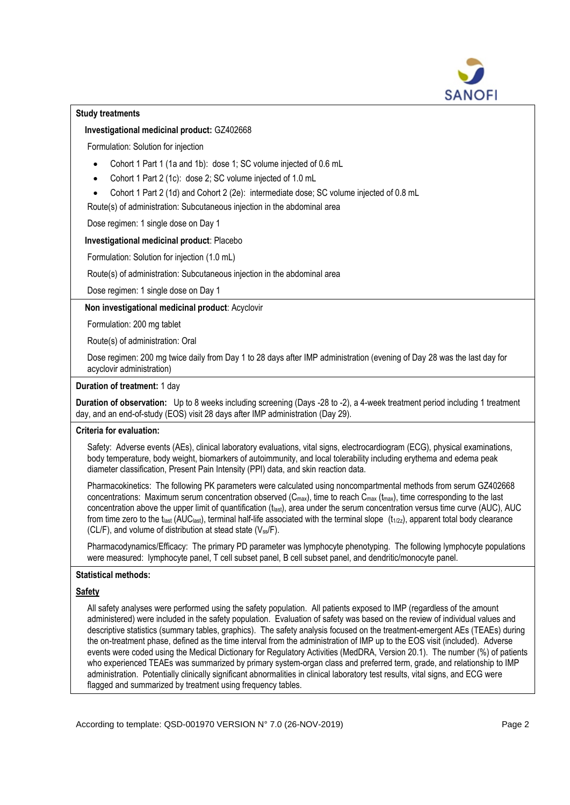

## **Study treatments**

## **Investigational medicinal product:** GZ402668

Formulation: Solution for injection

- Cohort 1 Part 1 (1a and 1b): dose 1; SC volume injected of 0.6 mL
- Cohort 1 Part 2 (1c): dose 2; SC volume injected of 1.0 mL
- Cohort 1 Part 2 (1d) and Cohort 2 (2e): intermediate dose; SC volume injected of 0.8 mL

Route(s) of administration: Subcutaneous injection in the abdominal area

## Dose regimen: 1 single dose on Day 1

# **Investigational medicinal product**: Placebo

Formulation: Solution for injection (1.0 mL)

Route(s) of administration: Subcutaneous injection in the abdominal area

Dose regimen: 1 single dose on Day 1

# **Non investigational medicinal product**: Acyclovir

Formulation: 200 mg tablet

Route(s) of administration: Oral

Dose regimen: 200 mg twice daily from Day 1 to 28 days after IMP administration (evening of Day 28 was the last day for acyclovir administration)

## **Duration of treatment:** 1 day

**Duration of observation:** Up to 8 weeks including screening (Days -28 to -2), a 4-week treatment period including 1 treatment day, and an end-of-study (EOS) visit 28 days after IMP administration (Day 29).

## **Criteria for evaluation:**

Safety: Adverse events (AEs), clinical laboratory evaluations, vital signs, electrocardiogram (ECG), physical examinations, body temperature, body weight, biomarkers of autoimmunity, and local tolerability including erythema and edema peak diameter classification, Present Pain Intensity (PPI) data, and skin reaction data.

Pharmacokinetics: The following PK parameters were calculated using noncompartmental methods from serum GZ402668 concentrations: Maximum serum concentration observed  $(C_{\text{max}})$ , time to reach  $C_{\text{max}}$  ( $t_{\text{max}}$ ), time corresponding to the last concentration above the upper limit of quantification (tlast), area under the serum concentration versus time curve (AUC), AUC from time zero to the t<sub>last</sub> (AUC<sub>last</sub>), terminal half-life associated with the terminal slope  $(t_{1/2z})$ , apparent total body clearance (CL/F), and volume of distribution at stead state ( $V_{ss}/F$ ).

Pharmacodynamics/Efficacy: The primary PD parameter was lymphocyte phenotyping. The following lymphocyte populations were measured: lymphocyte panel, T cell subset panel, B cell subset panel, and dendritic/monocyte panel.

# **Statistical methods:**

## **Safety**

All safety analyses were performed using the safety population. All patients exposed to IMP (regardless of the amount administered) were included in the safety population. Evaluation of safety was based on the review of individual values and descriptive statistics (summary tables, graphics). The safety analysis focused on the treatment-emergent AEs (TEAEs) during the on-treatment phase, defined as the time interval from the administration of IMP up to the EOS visit (included). Adverse events were coded using the Medical Dictionary for Regulatory Activities (MedDRA, Version 20.1). The number (%) of patients who experienced TEAEs was summarized by primary system-organ class and preferred term, grade, and relationship to IMP administration. Potentially clinically significant abnormalities in clinical laboratory test results, vital signs, and ECG were flagged and summarized by treatment using frequency tables.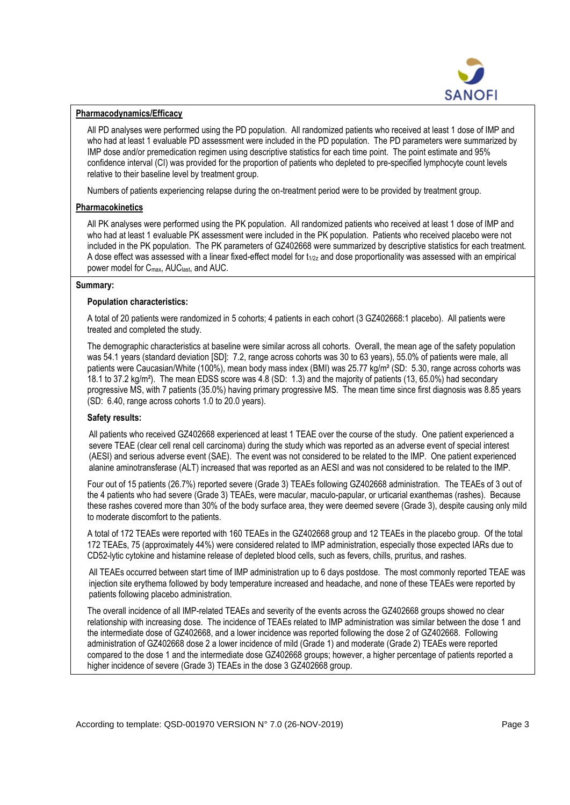

#### **Pharmacodynamics/Efficacy**

All PD analyses were performed using the PD population. All randomized patients who received at least 1 dose of IMP and who had at least 1 evaluable PD assessment were included in the PD population. The PD parameters were summarized by IMP dose and/or premedication regimen using descriptive statistics for each time point. The point estimate and 95% confidence interval (CI) was provided for the proportion of patients who depleted to pre-specified lymphocyte count levels relative to their baseline level by treatment group.

Numbers of patients experiencing relapse during the on-treatment period were to be provided by treatment group.

## **Pharmacokinetics**

All PK analyses were performed using the PK population. All randomized patients who received at least 1 dose of IMP and who had at least 1 evaluable PK assessment were included in the PK population. Patients who received placebo were not included in the PK population. The PK parameters of GZ402668 were summarized by descriptive statistics for each treatment. A dose effect was assessed with a linear fixed-effect model for  $t_{1/2z}$  and dose proportionality was assessed with an empirical power model for Cmax, AUClast, and AUC.

#### **Summary:**

#### **Population characteristics:**

A total of 20 patients were randomized in 5 cohorts; 4 patients in each cohort (3 GZ402668:1 placebo). All patients were treated and completed the study.

The demographic characteristics at baseline were similar across all cohorts. Overall, the mean age of the safety population was 54.1 years (standard deviation [SD]: 7.2, range across cohorts was 30 to 63 years), 55.0% of patients were male, all patients were Caucasian/White (100%), mean body mass index (BMI) was 25.77 kg/m<sup>2</sup> (SD: 5.30, range across cohorts was 18.1 to 37.2 kg/m²). The mean EDSS score was 4.8 (SD: 1.3) and the majority of patients (13, 65.0%) had secondary progressive MS, with 7 patients (35.0%) having primary progressive MS. The mean time since first diagnosis was 8.85 years (SD: 6.40, range across cohorts 1.0 to 20.0 years).

## **Safety results:**

All patients who received GZ402668 experienced at least 1 TEAE over the course of the study. One patient experienced a severe TEAE (clear cell renal cell carcinoma) during the study which was reported as an adverse event of special interest (AESI) and serious adverse event (SAE). The event was not considered to be related to the IMP. One patient experienced alanine aminotransferase (ALT) increased that was reported as an AESI and was not considered to be related to the IMP.

Four out of 15 patients (26.7%) reported severe (Grade 3) TEAEs following GZ402668 administration. The TEAEs of 3 out of the 4 patients who had severe (Grade 3) TEAEs, were macular, maculo-papular, or urticarial exanthemas (rashes). Because these rashes covered more than 30% of the body surface area, they were deemed severe (Grade 3), despite causing only mild to moderate discomfort to the patients.

A total of 172 TEAEs were reported with 160 TEAEs in the GZ402668 group and 12 TEAEs in the placebo group. Of the total 172 TEAEs, 75 (approximately 44%) were considered related to IMP administration, especially those expected IARs due to CD52-lytic cytokine and histamine release of depleted blood cells, such as fevers, chills, pruritus, and rashes.

All TEAEs occurred between start time of IMP administration up to 6 days postdose. The most commonly reported TEAE was injection site erythema followed by body temperature increased and headache, and none of these TEAEs were reported by patients following placebo administration.

The overall incidence of all IMP-related TEAEs and severity of the events across the GZ402668 groups showed no clear relationship with increasing dose. The incidence of TEAEs related to IMP administration was similar between the dose 1 and the intermediate dose of GZ402668, and a lower incidence was reported following the dose 2 of GZ402668. Following administration of GZ402668 dose 2 a lower incidence of mild (Grade 1) and moderate (Grade 2) TEAEs were reported compared to the dose 1 and the intermediate dose GZ402668 groups; however, a higher percentage of patients reported a higher incidence of severe (Grade 3) TEAEs in the dose 3 GZ402668 group.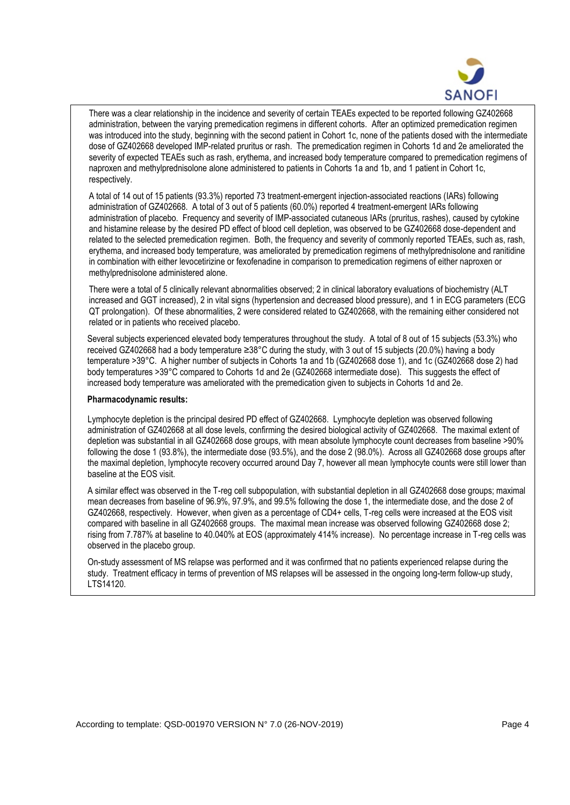

There was a clear relationship in the incidence and severity of certain TEAEs expected to be reported following GZ402668 administration, between the varying premedication regimens in different cohorts. After an optimized premedication regimen was introduced into the study, beginning with the second patient in Cohort 1c, none of the patients dosed with the intermediate dose of GZ402668 developed IMP-related pruritus or rash. The premedication regimen in Cohorts 1d and 2e ameliorated the severity of expected TEAEs such as rash, erythema, and increased body temperature compared to premedication regimens of naproxen and methylprednisolone alone administered to patients in Cohorts 1a and 1b, and 1 patient in Cohort 1c, respectively.

A total of 14 out of 15 patients (93.3%) reported 73 treatment-emergent injection-associated reactions (IARs) following administration of GZ402668. A total of 3 out of 5 patients (60.0%) reported 4 treatment-emergent IARs following administration of placebo. Frequency and severity of IMP-associated cutaneous IARs (pruritus, rashes), caused by cytokine and histamine release by the desired PD effect of blood cell depletion, was observed to be GZ402668 dose-dependent and related to the selected premedication regimen. Both, the frequency and severity of commonly reported TEAEs, such as, rash, erythema, and increased body temperature, was ameliorated by premedication regimens of methylprednisolone and ranitidine in combination with either levocetirizine or fexofenadine in comparison to premedication regimens of either naproxen or methylprednisolone administered alone.

There were a total of 5 clinically relevant abnormalities observed; 2 in clinical laboratory evaluations of biochemistry (ALT increased and GGT increased), 2 in vital signs (hypertension and decreased blood pressure), and 1 in ECG parameters (ECG QT prolongation). Of these abnormalities, 2 were considered related to GZ402668, with the remaining either considered not related or in patients who received placebo.

Several subjects experienced elevated body temperatures throughout the study. A total of 8 out of 15 subjects (53.3%) who received GZ402668 had a body temperature ≥38°C during the study, with 3 out of 15 subjects (20.0%) having a body temperature >39° C. A higher number of subjects in Cohorts 1a and 1b (GZ402668 dose 1), and 1c (GZ402668 dose 2) had body temperatures >39°C compared to Cohorts 1d and 2e (GZ402668 intermediate dose). This suggests the effect of increased body temperature was ameliorated with the premedication given to subjects in Cohorts 1d and 2e.

#### **Pharmacodynamic results:**

Lymphocyte depletion is the principal desired PD effect of GZ402668. Lymphocyte depletion was observed following administration of GZ402668 at all dose levels, confirming the desired biological activity of GZ402668. The maximal extent of depletion was substantial in all GZ402668 dose groups, with mean absolute lymphocyte count decreases from baseline >90% following the dose 1 (93.8%), the intermediate dose (93.5%), and the dose 2 (98.0%). Across all GZ402668 dose groups after the maximal depletion, lymphocyte recovery occurred around Day 7, however all mean lymphocyte counts were still lower than baseline at the EOS visit.

A similar effect was observed in the T-reg cell subpopulation, with substantial depletion in all GZ402668 dose groups; maximal mean decreases from baseline of 96.9%, 97.9%, and 99.5% following the dose 1, the intermediate dose, and the dose 2 of GZ402668, respectively. However, when given as a percentage of CD4+ cells, T-reg cells were increased at the EOS visit compared with baseline in all GZ402668 groups. The maximal mean increase was observed following GZ402668 dose 2; rising from 7.787% at baseline to 40.040% at EOS (approximately 414% increase). No percentage increase in T-reg cells was observed in the placebo group.

On-study assessment of MS relapse was performed and it was confirmed that no patients experienced relapse during the study. Treatment efficacy in terms of prevention of MS relapses will be assessed in the ongoing long-term follow-up study, LTS14120.